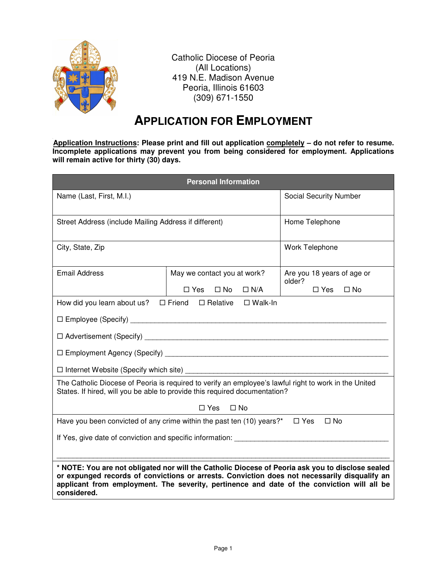

Catholic Diocese of Peoria (All Locations) 419 N.E. Madison Avenue Peoria, Illinois 61603 (309) 671-1550

## **APPLICATION FOR EMPLOYMENT**

Application Instructions: Please print and fill out application completely - do not refer to resume. **Incomplete applications may prevent you from being considered for employment. Applications will remain active for thirty (30) days.** 

| <b>Personal Information</b>                                                                                                                                                                                                                                                                                   |                                          |                                      |  |  |  |
|---------------------------------------------------------------------------------------------------------------------------------------------------------------------------------------------------------------------------------------------------------------------------------------------------------------|------------------------------------------|--------------------------------------|--|--|--|
| Name (Last, First, M.I.)                                                                                                                                                                                                                                                                                      |                                          | Social Security Number               |  |  |  |
| Street Address (include Mailing Address if different)                                                                                                                                                                                                                                                         |                                          | Home Telephone                       |  |  |  |
| City, State, Zip                                                                                                                                                                                                                                                                                              |                                          | Work Telephone                       |  |  |  |
| <b>Email Address</b>                                                                                                                                                                                                                                                                                          | May we contact you at work?              | Are you 18 years of age or<br>older? |  |  |  |
|                                                                                                                                                                                                                                                                                                               | $\Box$ Yes<br>$\square$ No<br>$\Box N/A$ | $\Box$ Yes<br>$\square$ No           |  |  |  |
| How did you learn about us? $\Box$ Friend $\Box$ Relative                                                                                                                                                                                                                                                     | $\square$ Walk-In                        |                                      |  |  |  |
|                                                                                                                                                                                                                                                                                                               |                                          |                                      |  |  |  |
|                                                                                                                                                                                                                                                                                                               |                                          |                                      |  |  |  |
|                                                                                                                                                                                                                                                                                                               |                                          |                                      |  |  |  |
|                                                                                                                                                                                                                                                                                                               |                                          |                                      |  |  |  |
| The Catholic Diocese of Peoria is required to verify an employee's lawful right to work in the United<br>States. If hired, will you be able to provide this required documentation?                                                                                                                           |                                          |                                      |  |  |  |
| $\Box$ Yes<br>$\Box$ No                                                                                                                                                                                                                                                                                       |                                          |                                      |  |  |  |
| Have you been convicted of any crime within the past ten (10) years?* $\Box$ Yes<br>$\Box$ No                                                                                                                                                                                                                 |                                          |                                      |  |  |  |
|                                                                                                                                                                                                                                                                                                               |                                          |                                      |  |  |  |
| * NOTE: You are not obligated nor will the Catholic Diocese of Peoria ask you to disclose sealed<br>or expunged records of convictions or arrests. Conviction does not necessarily disqualify an<br>applicant from employment. The severity, pertinence and date of the conviction will all be<br>considered. |                                          |                                      |  |  |  |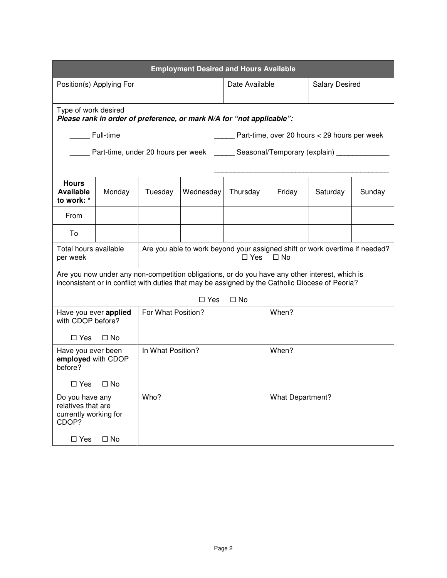| <b>Employment Desired and Hours Available</b>                                   |                                                                                                                                                                                                   |         |                                                                                   |              |                                                                                                        |          |        |  |
|---------------------------------------------------------------------------------|---------------------------------------------------------------------------------------------------------------------------------------------------------------------------------------------------|---------|-----------------------------------------------------------------------------------|--------------|--------------------------------------------------------------------------------------------------------|----------|--------|--|
| Position(s) Applying For                                                        |                                                                                                                                                                                                   |         | Date Available                                                                    |              | <b>Salary Desired</b>                                                                                  |          |        |  |
|                                                                                 | Type of work desired<br>Please rank in order of preference, or mark N/A for "not applicable":                                                                                                     |         |                                                                                   |              |                                                                                                        |          |        |  |
|                                                                                 | Full-time<br>Part-time, over 20 hours < 29 hours per week                                                                                                                                         |         |                                                                                   |              |                                                                                                        |          |        |  |
|                                                                                 |                                                                                                                                                                                                   |         | Part-time, under 20 hours per week _______ Seasonal/Temporary (explain) _________ |              |                                                                                                        |          |        |  |
| <b>Hours</b><br><b>Available</b><br>to work: *                                  | Monday                                                                                                                                                                                            | Tuesday | Wednesday                                                                         | Thursday     | Friday                                                                                                 | Saturday | Sunday |  |
| From                                                                            |                                                                                                                                                                                                   |         |                                                                                   |              |                                                                                                        |          |        |  |
| To                                                                              |                                                                                                                                                                                                   |         |                                                                                   |              |                                                                                                        |          |        |  |
| per week                                                                        | Total hours available                                                                                                                                                                             |         |                                                                                   |              | Are you able to work beyond your assigned shift or work overtime if needed?<br>$\Box$ No<br>$\Box$ Yes |          |        |  |
|                                                                                 | Are you now under any non-competition obligations, or do you have any other interest, which is<br>inconsistent or in conflict with duties that may be assigned by the Catholic Diocese of Peoria? |         |                                                                                   |              |                                                                                                        |          |        |  |
|                                                                                 |                                                                                                                                                                                                   |         | $\square$ Yes                                                                     | $\square$ No |                                                                                                        |          |        |  |
| For What Position?<br>Have you ever applied<br>with CDOP before?                |                                                                                                                                                                                                   |         | When?                                                                             |              |                                                                                                        |          |        |  |
| $\Box$ Yes                                                                      | $\square$ No                                                                                                                                                                                      |         |                                                                                   |              |                                                                                                        |          |        |  |
| before?                                                                         | In What Position?<br>Have you ever been<br>employed with CDOP                                                                                                                                     |         |                                                                                   | When?        |                                                                                                        |          |        |  |
| $\square$ Yes                                                                   | $\Box$ No                                                                                                                                                                                         |         |                                                                                   |              |                                                                                                        |          |        |  |
| Who?<br>Do you have any<br>relatives that are<br>currently working for<br>CDOP? |                                                                                                                                                                                                   |         | <b>What Department?</b>                                                           |              |                                                                                                        |          |        |  |
| $\square$ Yes<br>$\square$ No                                                   |                                                                                                                                                                                                   |         |                                                                                   |              |                                                                                                        |          |        |  |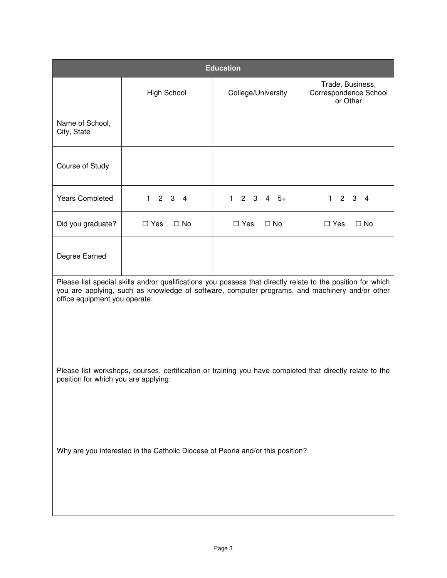| <b>Education</b>                                                                                                                                                                                                                               |                                     |                                  |                                                       |  |  |  |
|------------------------------------------------------------------------------------------------------------------------------------------------------------------------------------------------------------------------------------------------|-------------------------------------|----------------------------------|-------------------------------------------------------|--|--|--|
|                                                                                                                                                                                                                                                | <b>High School</b>                  | College/University               | Trade, Business,<br>Correspondence School<br>or Other |  |  |  |
| Name of School,<br>City, State                                                                                                                                                                                                                 |                                     |                                  |                                                       |  |  |  |
| Course of Study                                                                                                                                                                                                                                |                                     |                                  |                                                       |  |  |  |
| <b>Years Completed</b>                                                                                                                                                                                                                         | $2 \quad 3 \quad 4$<br>$\mathbf{1}$ | $\mathbf{1}$<br>$2 \t3 \t4 \t5+$ | $\mathbf{1}$<br>2 <sub>3</sub><br>4                   |  |  |  |
| Did you graduate?                                                                                                                                                                                                                              | $\square$ No<br>$\square$ Yes       | $\square$ Yes<br>$\square$ No    | $\square$ No<br>$\square$ Yes                         |  |  |  |
| Degree Earned                                                                                                                                                                                                                                  |                                     |                                  |                                                       |  |  |  |
| Please list special skills and/or qualifications you possess that directly relate to the position for which<br>you are applying, such as knowledge of software, computer programs, and machinery and/or other<br>office equipment you operate: |                                     |                                  |                                                       |  |  |  |
| Please list workshops, courses, certification or training you have completed that directly relate to the<br>position for which you are applying:                                                                                               |                                     |                                  |                                                       |  |  |  |
| Why are you interested in the Catholic Diocese of Peoria and/or this position?                                                                                                                                                                 |                                     |                                  |                                                       |  |  |  |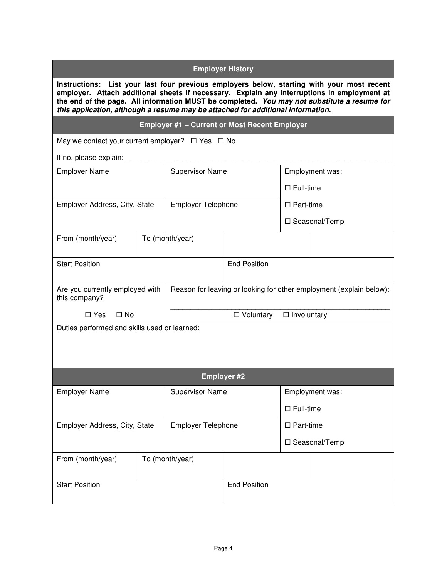| <b>Employer History</b>                                                                                                                                                                                                                                                                                                                                                     |  |                                                      |                                                                     |                    |                 |
|-----------------------------------------------------------------------------------------------------------------------------------------------------------------------------------------------------------------------------------------------------------------------------------------------------------------------------------------------------------------------------|--|------------------------------------------------------|---------------------------------------------------------------------|--------------------|-----------------|
| Instructions: List your last four previous employers below, starting with your most recent<br>employer. Attach additional sheets if necessary. Explain any interruptions in employment at<br>the end of the page. All information MUST be completed. You may not substitute a resume for<br>this application, although a resume may be attached for additional information. |  |                                                      |                                                                     |                    |                 |
|                                                                                                                                                                                                                                                                                                                                                                             |  | <b>Employer #1 - Current or Most Recent Employer</b> |                                                                     |                    |                 |
| May we contact your current employer? $\Box$ Yes $\Box$ No                                                                                                                                                                                                                                                                                                                  |  |                                                      |                                                                     |                    |                 |
| If no, please explain: _                                                                                                                                                                                                                                                                                                                                                    |  |                                                      |                                                                     |                    |                 |
| <b>Employer Name</b>                                                                                                                                                                                                                                                                                                                                                        |  | <b>Supervisor Name</b>                               |                                                                     | Employment was:    |                 |
|                                                                                                                                                                                                                                                                                                                                                                             |  |                                                      |                                                                     | $\Box$ Full-time   |                 |
| Employer Address, City, State                                                                                                                                                                                                                                                                                                                                               |  | <b>Employer Telephone</b>                            |                                                                     | $\Box$ Part-time   |                 |
|                                                                                                                                                                                                                                                                                                                                                                             |  |                                                      |                                                                     | □ Seasonal/Temp    |                 |
| From (month/year)                                                                                                                                                                                                                                                                                                                                                           |  | To (month/year)                                      |                                                                     |                    |                 |
| <b>Start Position</b>                                                                                                                                                                                                                                                                                                                                                       |  |                                                      | <b>End Position</b>                                                 |                    |                 |
| Are you currently employed with<br>this company?                                                                                                                                                                                                                                                                                                                            |  |                                                      | Reason for leaving or looking for other employment (explain below): |                    |                 |
| $\Box$ Yes<br>$\square$ No                                                                                                                                                                                                                                                                                                                                                  |  |                                                      | □ Voluntary                                                         | $\Box$ Involuntary |                 |
| Duties performed and skills used or learned:                                                                                                                                                                                                                                                                                                                                |  |                                                      |                                                                     |                    |                 |
|                                                                                                                                                                                                                                                                                                                                                                             |  |                                                      | <b>Employer #2</b>                                                  |                    |                 |
| <b>Employer Name</b>                                                                                                                                                                                                                                                                                                                                                        |  | <b>Supervisor Name</b>                               |                                                                     | Employment was:    |                 |
|                                                                                                                                                                                                                                                                                                                                                                             |  |                                                      |                                                                     | $\Box$ Full-time   |                 |
| Employer Address, City, State                                                                                                                                                                                                                                                                                                                                               |  | <b>Employer Telephone</b>                            |                                                                     | $\Box$ Part-time   |                 |
|                                                                                                                                                                                                                                                                                                                                                                             |  |                                                      |                                                                     |                    | □ Seasonal/Temp |
| From (month/year)                                                                                                                                                                                                                                                                                                                                                           |  | To (month/year)                                      |                                                                     |                    |                 |
| <b>Start Position</b>                                                                                                                                                                                                                                                                                                                                                       |  |                                                      | <b>End Position</b>                                                 |                    |                 |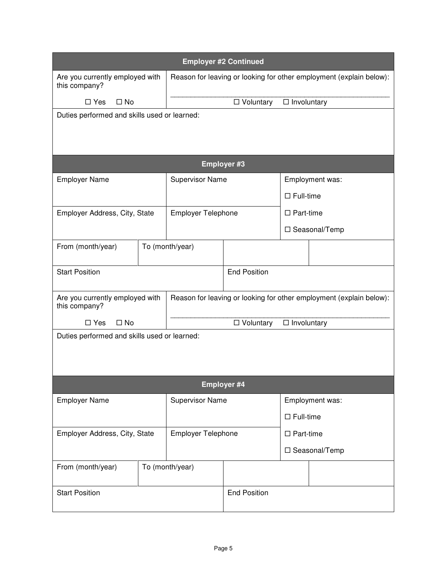| <b>Employer #2 Continued</b>                                                  |  |                                                                     |                                   |                     |                                                                     |
|-------------------------------------------------------------------------------|--|---------------------------------------------------------------------|-----------------------------------|---------------------|---------------------------------------------------------------------|
| Are you currently employed with<br>this company?                              |  | Reason for leaving or looking for other employment (explain below): |                                   |                     |                                                                     |
| $\square$ Yes<br>$\square$ No                                                 |  |                                                                     | $\Box$ Involuntary<br>□ Voluntary |                     |                                                                     |
| Duties performed and skills used or learned:                                  |  |                                                                     |                                   |                     |                                                                     |
|                                                                               |  |                                                                     |                                   |                     |                                                                     |
|                                                                               |  |                                                                     |                                   |                     |                                                                     |
|                                                                               |  |                                                                     | <b>Employer #3</b>                |                     |                                                                     |
| <b>Employer Name</b>                                                          |  | <b>Supervisor Name</b>                                              |                                   | Employment was:     |                                                                     |
|                                                                               |  |                                                                     |                                   | $\Box$ Full-time    |                                                                     |
| Employer Address, City, State                                                 |  | Employer Telephone                                                  |                                   | $\Box$ Part-time    |                                                                     |
|                                                                               |  |                                                                     |                                   | □ Seasonal/Temp     |                                                                     |
| From (month/year)                                                             |  | To (month/year)                                                     |                                   |                     |                                                                     |
|                                                                               |  |                                                                     |                                   |                     |                                                                     |
| <b>Start Position</b>                                                         |  |                                                                     | <b>End Position</b>               |                     |                                                                     |
| Are you currently employed with                                               |  |                                                                     |                                   |                     | Reason for leaving or looking for other employment (explain below): |
| this company?                                                                 |  |                                                                     | $\Box$ Involuntary                |                     |                                                                     |
| $\square$ No<br>$\square$ Yes<br>Duties performed and skills used or learned: |  |                                                                     | $\Box$ Voluntary                  |                     |                                                                     |
|                                                                               |  |                                                                     |                                   |                     |                                                                     |
|                                                                               |  |                                                                     |                                   |                     |                                                                     |
|                                                                               |  |                                                                     |                                   |                     |                                                                     |
|                                                                               |  |                                                                     | Employer #4                       |                     |                                                                     |
| <b>Employer Name</b>                                                          |  | <b>Supervisor Name</b>                                              |                                   | Employment was:     |                                                                     |
|                                                                               |  |                                                                     |                                   | $\square$ Full-time |                                                                     |
| Employer Address, City, State                                                 |  | Employer Telephone                                                  |                                   | $\Box$ Part-time    |                                                                     |
|                                                                               |  |                                                                     |                                   |                     | □ Seasonal/Temp                                                     |
| From (month/year)                                                             |  | To (month/year)                                                     |                                   |                     |                                                                     |
| <b>Start Position</b>                                                         |  | <b>End Position</b>                                                 |                                   |                     |                                                                     |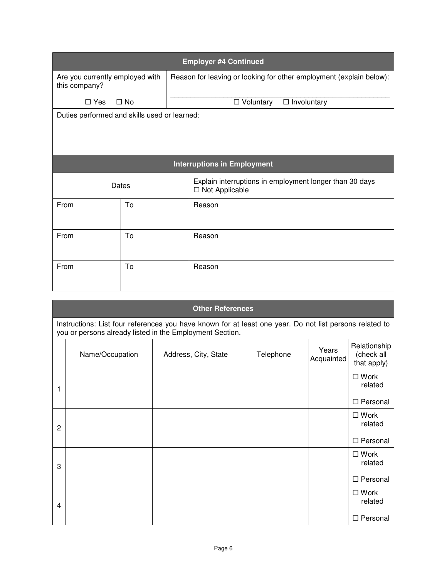| <b>Employer #4 Continued</b>                     |                                              |                                                                             |  |  |  |  |  |
|--------------------------------------------------|----------------------------------------------|-----------------------------------------------------------------------------|--|--|--|--|--|
| Are you currently employed with<br>this company? |                                              | Reason for leaving or looking for other employment (explain below):         |  |  |  |  |  |
| $\Box$ Yes                                       | $\Box$ No                                    | $\Box$ Voluntary<br>$\Box$ Involuntary                                      |  |  |  |  |  |
|                                                  | Duties performed and skills used or learned: |                                                                             |  |  |  |  |  |
| <b>Interruptions in Employment</b>               |                                              |                                                                             |  |  |  |  |  |
| Dates                                            |                                              | Explain interruptions in employment longer than 30 days<br>□ Not Applicable |  |  |  |  |  |
| From                                             | To                                           | Reason                                                                      |  |  |  |  |  |
| From                                             | To                                           | Reason                                                                      |  |  |  |  |  |
| From                                             | To                                           | Reason                                                                      |  |  |  |  |  |

| <b>Other References</b>                                                                                                                                             |                 |                      |           |                     |                                           |  |  |
|---------------------------------------------------------------------------------------------------------------------------------------------------------------------|-----------------|----------------------|-----------|---------------------|-------------------------------------------|--|--|
| Instructions: List four references you have known for at least one year. Do not list persons related to<br>you or persons already listed in the Employment Section. |                 |                      |           |                     |                                           |  |  |
|                                                                                                                                                                     | Name/Occupation | Address, City, State | Telephone | Years<br>Acquainted | Relationship<br>(check all<br>that apply) |  |  |
| 1                                                                                                                                                                   |                 |                      |           |                     | $\square$ Work<br>related                 |  |  |
|                                                                                                                                                                     |                 |                      |           |                     | □ Personal                                |  |  |
| $\overline{2}$                                                                                                                                                      |                 |                      |           |                     | $\square$ Work<br>related                 |  |  |
|                                                                                                                                                                     |                 |                      |           |                     | □ Personal                                |  |  |
| 3                                                                                                                                                                   |                 |                      |           |                     | $\square$ Work<br>related                 |  |  |
|                                                                                                                                                                     |                 |                      |           |                     | □ Personal                                |  |  |
| 4                                                                                                                                                                   |                 |                      |           |                     | $\square$ Work<br>related                 |  |  |
|                                                                                                                                                                     |                 |                      |           |                     | □ Personal                                |  |  |